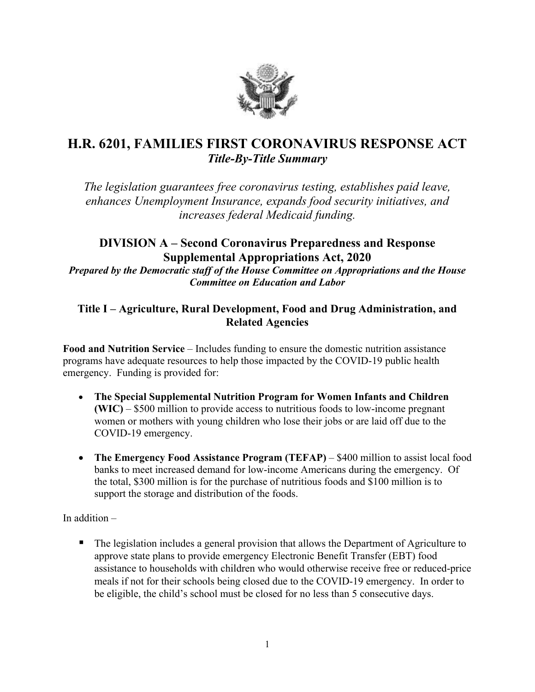

# **H.R. 6201, FAMILIES FIRST CORONAVIRUS RESPONSE ACT** *Title-By-Title Summary*

*The legislation guarantees free coronavirus testing, establishes paid leave, enhances Unemployment Insurance, expands food security initiatives, and increases federal Medicaid funding.*

# **DIVISION A – Second Coronavirus Preparedness and Response Supplemental Appropriations Act, 2020** *Prepared by the Democratic staff of the House Committee on Appropriations and the House Committee on Education and Labor*

## **Title I – Agriculture, Rural Development, Food and Drug Administration, and Related Agencies**

**Food and Nutrition Service** – Includes funding to ensure the domestic nutrition assistance programs have adequate resources to help those impacted by the COVID-19 public health emergency. Funding is provided for:

- **The Special Supplemental Nutrition Program for Women Infants and Children (WIC)** – \$500 million to provide access to nutritious foods to low-income pregnant women or mothers with young children who lose their jobs or are laid off due to the COVID-19 emergency.
- **The Emergency Food Assistance Program (TEFAP)** \$400 million to assist local food banks to meet increased demand for low-income Americans during the emergency. Of the total, \$300 million is for the purchase of nutritious foods and \$100 million is to support the storage and distribution of the foods.

In addition –

• The legislation includes a general provision that allows the Department of Agriculture to approve state plans to provide emergency Electronic Benefit Transfer (EBT) food assistance to households with children who would otherwise receive free or reduced-price meals if not for their schools being closed due to the COVID-19 emergency. In order to be eligible, the child's school must be closed for no less than 5 consecutive days.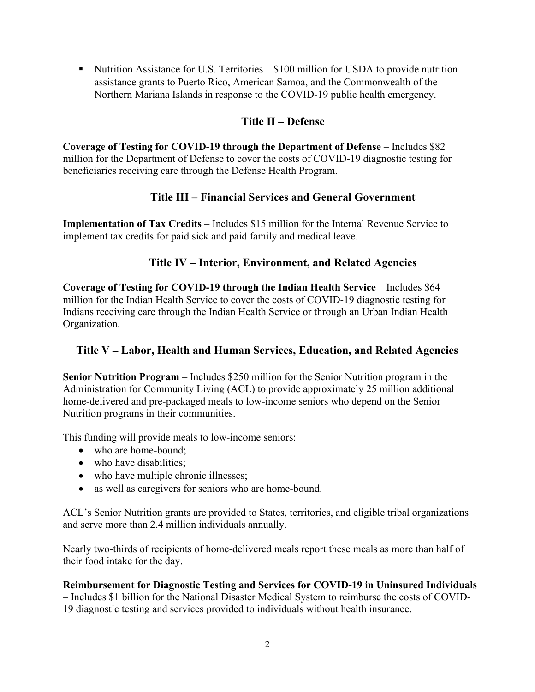Nutrition Assistance for U.S. Territories  $-$  \$100 million for USDA to provide nutrition assistance grants to Puerto Rico, American Samoa, and the Commonwealth of the Northern Mariana Islands in response to the COVID-19 public health emergency.

### **Title II – Defense**

**Coverage of Testing for COVID-19 through the Department of Defense** – Includes \$82 million for the Department of Defense to cover the costs of COVID-19 diagnostic testing for beneficiaries receiving care through the Defense Health Program.

# **Title III – Financial Services and General Government**

**Implementation of Tax Credits** – Includes \$15 million for the Internal Revenue Service to implement tax credits for paid sick and paid family and medical leave.

## **Title IV – Interior, Environment, and Related Agencies**

**Coverage of Testing for COVID-19 through the Indian Health Service – Includes \$64** million for the Indian Health Service to cover the costs of COVID-19 diagnostic testing for Indians receiving care through the Indian Health Service or through an Urban Indian Health Organization.

# **Title V – Labor, Health and Human Services, Education, and Related Agencies**

**Senior Nutrition Program** – Includes \$250 million for the Senior Nutrition program in the Administration for Community Living (ACL) to provide approximately 25 million additional home-delivered and pre-packaged meals to low-income seniors who depend on the Senior Nutrition programs in their communities.

This funding will provide meals to low-income seniors:

- who are home-bound:
- who have disabilities;
- who have multiple chronic illnesses;
- as well as caregivers for seniors who are home-bound.

ACL's Senior Nutrition grants are provided to States, territories, and eligible tribal organizations and serve more than 2.4 million individuals annually.

Nearly two-thirds of recipients of home-delivered meals report these meals as more than half of their food intake for the day.

# **Reimbursement for Diagnostic Testing and Services for COVID-19 in Uninsured Individuals**

– Includes \$1 billion for the National Disaster Medical System to reimburse the costs of COVID-19 diagnostic testing and services provided to individuals without health insurance.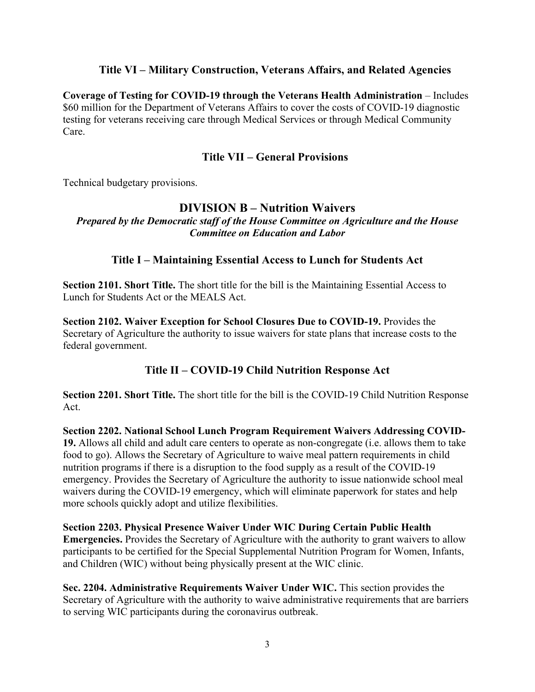#### **Title VI – Military Construction, Veterans Affairs, and Related Agencies**

**Coverage of Testing for COVID-19 through the Veterans Health Administration** – Includes \$60 million for the Department of Veterans Affairs to cover the costs of COVID-19 diagnostic testing for veterans receiving care through Medical Services or through Medical Community Care.

#### **Title VII – General Provisions**

Technical budgetary provisions.

#### **DIVISION B – Nutrition Waivers**

*Prepared by the Democratic staff of the House Committee on Agriculture and the House Committee on Education and Labor*

#### **Title I – Maintaining Essential Access to Lunch for Students Act**

**Section 2101. Short Title.** The short title for the bill is the Maintaining Essential Access to Lunch for Students Act or the MEALS Act.

**Section 2102. Waiver Exception for School Closures Due to COVID-19.** Provides the Secretary of Agriculture the authority to issue waivers for state plans that increase costs to the federal government.

# **Title II – COVID-19 Child Nutrition Response Act**

**Section 2201. Short Title.** The short title for the bill is the COVID-19 Child Nutrition Response Act.

**Section 2202. National School Lunch Program Requirement Waivers Addressing COVID-19.** Allows all child and adult care centers to operate as non-congregate (i.e. allows them to take food to go). Allows the Secretary of Agriculture to waive meal pattern requirements in child nutrition programs if there is a disruption to the food supply as a result of the COVID-19 emergency. Provides the Secretary of Agriculture the authority to issue nationwide school meal waivers during the COVID-19 emergency, which will eliminate paperwork for states and help more schools quickly adopt and utilize flexibilities.

**Section 2203. Physical Presence Waiver Under WIC During Certain Public Health Emergencies.** Provides the Secretary of Agriculture with the authority to grant waivers to allow participants to be certified for the Special Supplemental Nutrition Program for Women, Infants, and Children (WIC) without being physically present at the WIC clinic.

**Sec. 2204. Administrative Requirements Waiver Under WIC.** This section provides the Secretary of Agriculture with the authority to waive administrative requirements that are barriers to serving WIC participants during the coronavirus outbreak.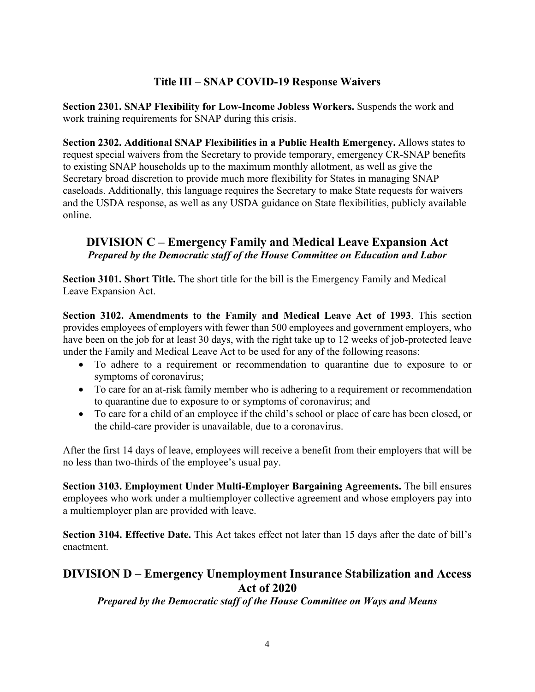# **Title III – SNAP COVID-19 Response Waivers**

**Section 2301. SNAP Flexibility for Low-Income Jobless Workers.** Suspends the work and work training requirements for SNAP during this crisis.

**Section 2302. Additional SNAP Flexibilities in a Public Health Emergency.** Allows states to request special waivers from the Secretary to provide temporary, emergency CR-SNAP benefits to existing SNAP households up to the maximum monthly allotment, as well as give the Secretary broad discretion to provide much more flexibility for States in managing SNAP caseloads. Additionally, this language requires the Secretary to make State requests for waivers and the USDA response, as well as any USDA guidance on State flexibilities, publicly available online.

### **DIVISION C – Emergency Family and Medical Leave Expansion Act** *Prepared by the Democratic staff of the House Committee on Education and Labor*

**Section 3101. Short Title.** The short title for the bill is the Emergency Family and Medical Leave Expansion Act.

**Section 3102. Amendments to the Family and Medical Leave Act of 1993**. This section provides employees of employers with fewer than 500 employees and government employers, who have been on the job for at least 30 days, with the right take up to 12 weeks of job-protected leave under the Family and Medical Leave Act to be used for any of the following reasons:

- To adhere to a requirement or recommendation to quarantine due to exposure to or symptoms of coronavirus;
- To care for an at-risk family member who is adhering to a requirement or recommendation to quarantine due to exposure to or symptoms of coronavirus; and
- To care for a child of an employee if the child's school or place of care has been closed, or the child-care provider is unavailable, due to a coronavirus.

After the first 14 days of leave, employees will receive a benefit from their employers that will be no less than two-thirds of the employee's usual pay.

**Section 3103. Employment Under Multi-Employer Bargaining Agreements.** The bill ensures employees who work under a multiemployer collective agreement and whose employers pay into a multiemployer plan are provided with leave.

**Section 3104. Effective Date.** This Act takes effect not later than 15 days after the date of bill's enactment.

## **DIVISION D – Emergency Unemployment Insurance Stabilization and Access Act of 2020**

*Prepared by the Democratic staff of the House Committee on Ways and Means*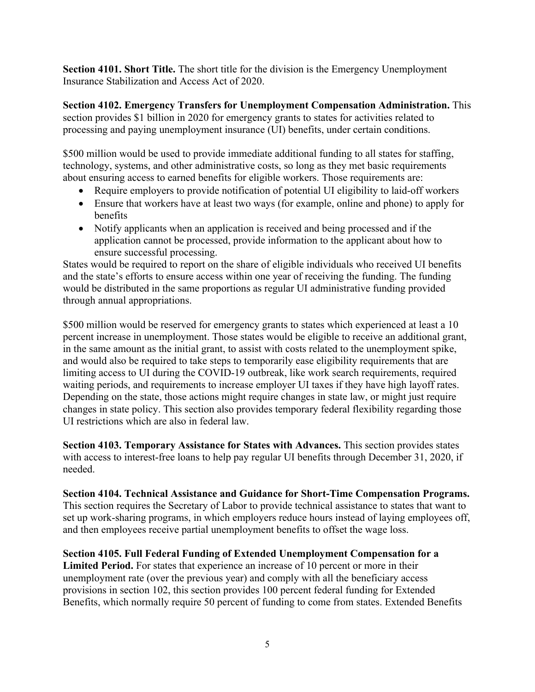**Section 4101. Short Title.** The short title for the division is the Emergency Unemployment Insurance Stabilization and Access Act of 2020.

**Section 4102. Emergency Transfers for Unemployment Compensation Administration.** This section provides \$1 billion in 2020 for emergency grants to states for activities related to processing and paying unemployment insurance (UI) benefits, under certain conditions.

\$500 million would be used to provide immediate additional funding to all states for staffing, technology, systems, and other administrative costs, so long as they met basic requirements about ensuring access to earned benefits for eligible workers. Those requirements are:

- Require employers to provide notification of potential UI eligibility to laid-off workers
- Ensure that workers have at least two ways (for example, online and phone) to apply for benefits
- Notify applicants when an application is received and being processed and if the application cannot be processed, provide information to the applicant about how to ensure successful processing.

States would be required to report on the share of eligible individuals who received UI benefits and the state's efforts to ensure access within one year of receiving the funding. The funding would be distributed in the same proportions as regular UI administrative funding provided through annual appropriations.

\$500 million would be reserved for emergency grants to states which experienced at least a 10 percent increase in unemployment. Those states would be eligible to receive an additional grant, in the same amount as the initial grant, to assist with costs related to the unemployment spike, and would also be required to take steps to temporarily ease eligibility requirements that are limiting access to UI during the COVID-19 outbreak, like work search requirements, required waiting periods, and requirements to increase employer UI taxes if they have high layoff rates. Depending on the state, those actions might require changes in state law, or might just require changes in state policy. This section also provides temporary federal flexibility regarding those UI restrictions which are also in federal law.

**Section 4103. Temporary Assistance for States with Advances.** This section provides states with access to interest-free loans to help pay regular UI benefits through December 31, 2020, if needed.

**Section 4104. Technical Assistance and Guidance for Short-Time Compensation Programs.**  This section requires the Secretary of Labor to provide technical assistance to states that want to set up work-sharing programs, in which employers reduce hours instead of laying employees off, and then employees receive partial unemployment benefits to offset the wage loss.

**Section 4105. Full Federal Funding of Extended Unemployment Compensation for a Limited Period.** For states that experience an increase of 10 percent or more in their unemployment rate (over the previous year) and comply with all the beneficiary access provisions in section 102, this section provides 100 percent federal funding for Extended Benefits, which normally require 50 percent of funding to come from states. Extended Benefits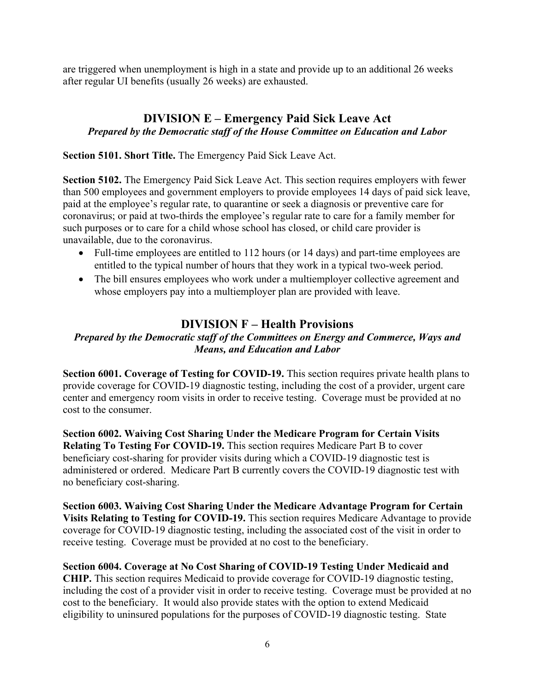are triggered when unemployment is high in a state and provide up to an additional 26 weeks after regular UI benefits (usually 26 weeks) are exhausted.

#### **DIVISION E – Emergency Paid Sick Leave Act** *Prepared by the Democratic staff of the House Committee on Education and Labor*

**Section 5101. Short Title.** The Emergency Paid Sick Leave Act.

**Section 5102.** The Emergency Paid Sick Leave Act. This section requires employers with fewer than 500 employees and government employers to provide employees 14 days of paid sick leave, paid at the employee's regular rate, to quarantine or seek a diagnosis or preventive care for coronavirus; or paid at two-thirds the employee's regular rate to care for a family member for such purposes or to care for a child whose school has closed, or child care provider is unavailable, due to the coronavirus.

- Full-time employees are entitled to 112 hours (or 14 days) and part-time employees are entitled to the typical number of hours that they work in a typical two-week period.
- The bill ensures employees who work under a multiemployer collective agreement and whose employers pay into a multiemployer plan are provided with leave.

# **DIVISION F – Health Provisions**

#### *Prepared by the Democratic staff of the Committees on Energy and Commerce, Ways and Means, and Education and Labor*

**Section 6001. Coverage of Testing for COVID-19.** This section requires private health plans to provide coverage for COVID-19 diagnostic testing, including the cost of a provider, urgent care center and emergency room visits in order to receive testing. Coverage must be provided at no cost to the consumer.

**Section 6002. Waiving Cost Sharing Under the Medicare Program for Certain Visits Relating To Testing For COVID-19.** This section requires Medicare Part B to cover beneficiary cost-sharing for provider visits during which a COVID-19 diagnostic test is administered or ordered. Medicare Part B currently covers the COVID-19 diagnostic test with no beneficiary cost-sharing.

**Section 6003. Waiving Cost Sharing Under the Medicare Advantage Program for Certain Visits Relating to Testing for COVID-19.** This section requires Medicare Advantage to provide coverage for COVID-19 diagnostic testing, including the associated cost of the visit in order to receive testing. Coverage must be provided at no cost to the beneficiary.

**Section 6004. Coverage at No Cost Sharing of COVID-19 Testing Under Medicaid and CHIP.** This section requires Medicaid to provide coverage for COVID-19 diagnostic testing, including the cost of a provider visit in order to receive testing. Coverage must be provided at no cost to the beneficiary. It would also provide states with the option to extend Medicaid eligibility to uninsured populations for the purposes of COVID-19 diagnostic testing. State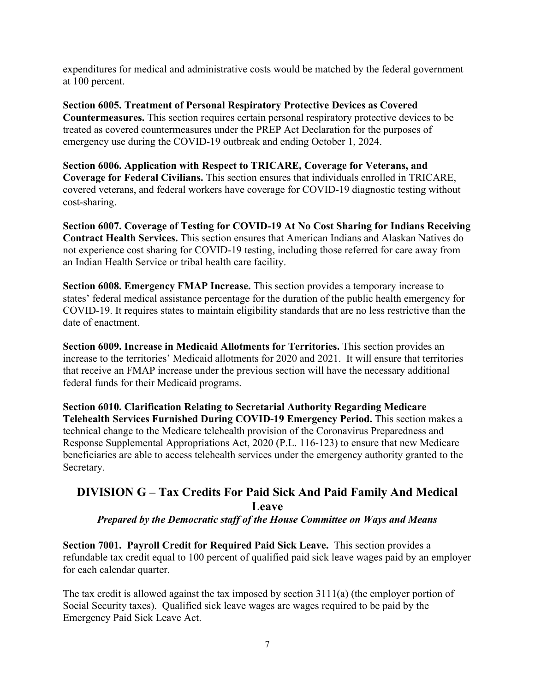expenditures for medical and administrative costs would be matched by the federal government at 100 percent.

**Section 6005. Treatment of Personal Respiratory Protective Devices as Covered Countermeasures.** This section requires certain personal respiratory protective devices to be treated as covered countermeasures under the PREP Act Declaration for the purposes of emergency use during the COVID-19 outbreak and ending October 1, 2024.

**Section 6006. Application with Respect to TRICARE, Coverage for Veterans, and Coverage for Federal Civilians.** This section ensures that individuals enrolled in TRICARE, covered veterans, and federal workers have coverage for COVID-19 diagnostic testing without cost-sharing.

**Section 6007. Coverage of Testing for COVID-19 At No Cost Sharing for Indians Receiving Contract Health Services.** This section ensures that American Indians and Alaskan Natives do not experience cost sharing for COVID-19 testing, including those referred for care away from an Indian Health Service or tribal health care facility.

**Section 6008. Emergency FMAP Increase.** This section provides a temporary increase to states' federal medical assistance percentage for the duration of the public health emergency for COVID-19. It requires states to maintain eligibility standards that are no less restrictive than the date of enactment.

**Section 6009. Increase in Medicaid Allotments for Territories.** This section provides an increase to the territories' Medicaid allotments for 2020 and 2021. It will ensure that territories that receive an FMAP increase under the previous section will have the necessary additional federal funds for their Medicaid programs.

**Section 6010. Clarification Relating to Secretarial Authority Regarding Medicare Telehealth Services Furnished During COVID-19 Emergency Period.** This section makes a technical change to the Medicare telehealth provision of the Coronavirus Preparedness and Response Supplemental Appropriations Act, 2020 (P.L. 116-123) to ensure that new Medicare beneficiaries are able to access telehealth services under the emergency authority granted to the Secretary.

# **DIVISION G – Tax Credits For Paid Sick And Paid Family And Medical Leave**

*Prepared by the Democratic staff of the House Committee on Ways and Means*

**Section 7001. Payroll Credit for Required Paid Sick Leave.** This section provides a refundable tax credit equal to 100 percent of qualified paid sick leave wages paid by an employer for each calendar quarter.

The tax credit is allowed against the tax imposed by section 3111(a) (the employer portion of Social Security taxes). Qualified sick leave wages are wages required to be paid by the Emergency Paid Sick Leave Act.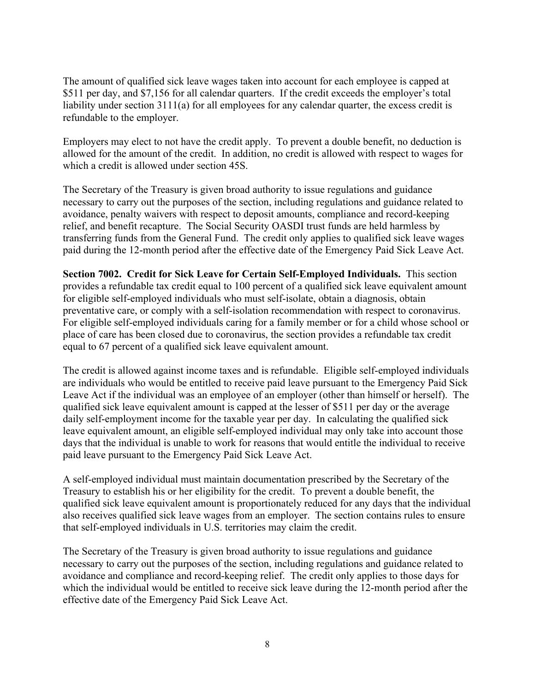The amount of qualified sick leave wages taken into account for each employee is capped at \$511 per day, and \$7,156 for all calendar quarters. If the credit exceeds the employer's total liability under section 3111(a) for all employees for any calendar quarter, the excess credit is refundable to the employer.

Employers may elect to not have the credit apply. To prevent a double benefit, no deduction is allowed for the amount of the credit. In addition, no credit is allowed with respect to wages for which a credit is allowed under section 45S.

The Secretary of the Treasury is given broad authority to issue regulations and guidance necessary to carry out the purposes of the section, including regulations and guidance related to avoidance, penalty waivers with respect to deposit amounts, compliance and record-keeping relief, and benefit recapture. The Social Security OASDI trust funds are held harmless by transferring funds from the General Fund. The credit only applies to qualified sick leave wages paid during the 12-month period after the effective date of the Emergency Paid Sick Leave Act.

**Section 7002. Credit for Sick Leave for Certain Self-Employed Individuals.** This section provides a refundable tax credit equal to 100 percent of a qualified sick leave equivalent amount for eligible self-employed individuals who must self-isolate, obtain a diagnosis, obtain preventative care, or comply with a self-isolation recommendation with respect to coronavirus. For eligible self-employed individuals caring for a family member or for a child whose school or place of care has been closed due to coronavirus, the section provides a refundable tax credit equal to 67 percent of a qualified sick leave equivalent amount.

The credit is allowed against income taxes and is refundable. Eligible self-employed individuals are individuals who would be entitled to receive paid leave pursuant to the Emergency Paid Sick Leave Act if the individual was an employee of an employer (other than himself or herself). The qualified sick leave equivalent amount is capped at the lesser of \$511 per day or the average daily self-employment income for the taxable year per day. In calculating the qualified sick leave equivalent amount, an eligible self-employed individual may only take into account those days that the individual is unable to work for reasons that would entitle the individual to receive paid leave pursuant to the Emergency Paid Sick Leave Act.

A self-employed individual must maintain documentation prescribed by the Secretary of the Treasury to establish his or her eligibility for the credit. To prevent a double benefit, the qualified sick leave equivalent amount is proportionately reduced for any days that the individual also receives qualified sick leave wages from an employer. The section contains rules to ensure that self-employed individuals in U.S. territories may claim the credit.

The Secretary of the Treasury is given broad authority to issue regulations and guidance necessary to carry out the purposes of the section, including regulations and guidance related to avoidance and compliance and record-keeping relief. The credit only applies to those days for which the individual would be entitled to receive sick leave during the 12-month period after the effective date of the Emergency Paid Sick Leave Act.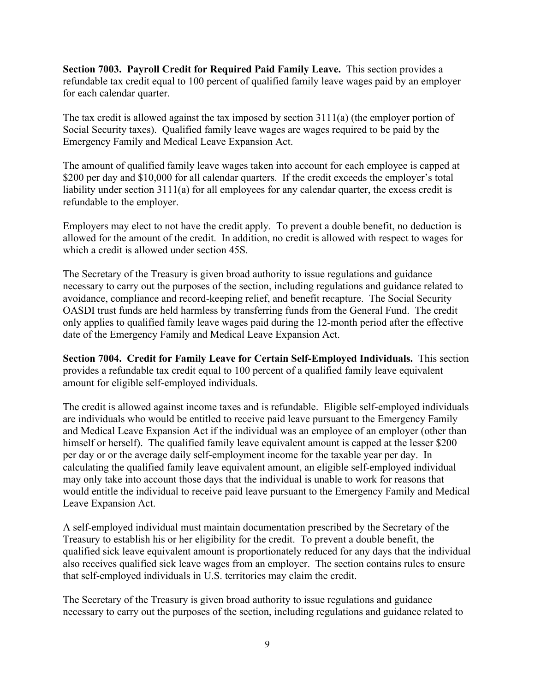**Section 7003. Payroll Credit for Required Paid Family Leave.** This section provides a refundable tax credit equal to 100 percent of qualified family leave wages paid by an employer for each calendar quarter.

The tax credit is allowed against the tax imposed by section 3111(a) (the employer portion of Social Security taxes). Qualified family leave wages are wages required to be paid by the Emergency Family and Medical Leave Expansion Act.

The amount of qualified family leave wages taken into account for each employee is capped at \$200 per day and \$10,000 for all calendar quarters. If the credit exceeds the employer's total liability under section 3111(a) for all employees for any calendar quarter, the excess credit is refundable to the employer.

Employers may elect to not have the credit apply. To prevent a double benefit, no deduction is allowed for the amount of the credit. In addition, no credit is allowed with respect to wages for which a credit is allowed under section 45S.

The Secretary of the Treasury is given broad authority to issue regulations and guidance necessary to carry out the purposes of the section, including regulations and guidance related to avoidance, compliance and record-keeping relief, and benefit recapture. The Social Security OASDI trust funds are held harmless by transferring funds from the General Fund. The credit only applies to qualified family leave wages paid during the 12-month period after the effective date of the Emergency Family and Medical Leave Expansion Act.

**Section 7004. Credit for Family Leave for Certain Self-Employed Individuals.** This section provides a refundable tax credit equal to 100 percent of a qualified family leave equivalent amount for eligible self-employed individuals.

The credit is allowed against income taxes and is refundable. Eligible self-employed individuals are individuals who would be entitled to receive paid leave pursuant to the Emergency Family and Medical Leave Expansion Act if the individual was an employee of an employer (other than himself or herself). The qualified family leave equivalent amount is capped at the lesser \$200 per day or or the average daily self-employment income for the taxable year per day. In calculating the qualified family leave equivalent amount, an eligible self-employed individual may only take into account those days that the individual is unable to work for reasons that would entitle the individual to receive paid leave pursuant to the Emergency Family and Medical Leave Expansion Act.

A self-employed individual must maintain documentation prescribed by the Secretary of the Treasury to establish his or her eligibility for the credit. To prevent a double benefit, the qualified sick leave equivalent amount is proportionately reduced for any days that the individual also receives qualified sick leave wages from an employer. The section contains rules to ensure that self-employed individuals in U.S. territories may claim the credit.

The Secretary of the Treasury is given broad authority to issue regulations and guidance necessary to carry out the purposes of the section, including regulations and guidance related to